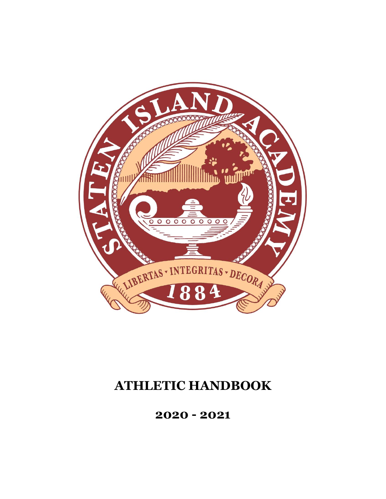

# **ATHLETIC HANDBOOK**

**2020 - 2021**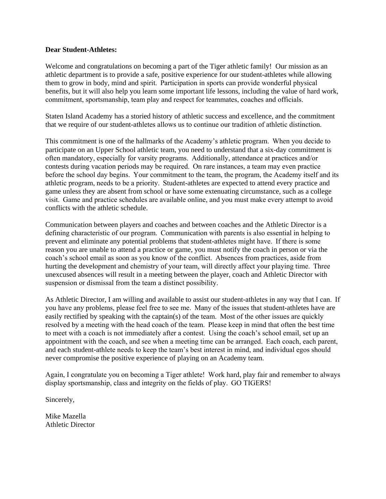#### **Dear Student-Athletes:**

Welcome and congratulations on becoming a part of the Tiger athletic family! Our mission as an athletic department is to provide a safe, positive experience for our student-athletes while allowing them to grow in body, mind and spirit.  Participation in sports can provide wonderful physical benefits, but it will also help you learn some important life lessons, including the value of hard work, commitment, sportsmanship, team play and respect for teammates, coaches and officials. 

Staten Island Academy has a storied history of athletic success and excellence, and the commitment that we require of our student-athletes allows us to continue our tradition of athletic distinction.  

This commitment is one of the hallmarks of the Academy's athletic program.  When you decide to participate on an Upper School athletic team, you need to understand that a six-day commitment is often mandatory, especially for varsity programs.  Additionally, attendance at practices and/or contests during vacation periods may be required.  On rare instances, a team may even practice before the school day begins.  Your commitment to the team, the program, the Academy itself and its athletic program, needs to be a priority.  Student-athletes are expected to attend every practice and game unless they are absent from school or have some extenuating circumstance, such as a college visit.  Game and practice schedules are available online, and you must make every attempt to avoid conflicts with the athletic schedule.

Communication between players and coaches and between coaches and the Athletic Director is a defining characteristic of our program.  Communication with parents is also essential in helping to prevent and eliminate any potential problems that student-athletes might have.  If there is some reason you are unable to attend a practice or game, you must notify the coach in person or via the coach's school email as soon as you know of the conflict.  Absences from practices, aside from hurting the development and chemistry of your team, will directly affect your playing time.  Three unexcused absences will result in a meeting between the player, coach and Athletic Director with suspension or dismissal from the team a distinct possibility.  

As Athletic Director, I am willing and available to assist our student-athletes in any way that I can.  If you have any problems, please feel free to see me.  Many of the issues that student-athletes have are easily rectified by speaking with the captain(s) of the team.  Most of the other issues are quickly resolved by a meeting with the head coach of the team.  Please keep in mind that often the best time to meet with a coach is not immediately after a contest.  Using the coach's school email, set up an appointment with the coach, and see when a meeting time can be arranged.  Each coach, each parent, and each student-athlete needs to keep the team's best interest in mind, and individual egos should never compromise the positive experience of playing on an Academy team. 

Again, I congratulate you on becoming a Tiger athlete!  Work hard, play fair and remember to always display sportsmanship, class and integrity on the fields of play.  GO TIGERS!

Sincerely,

Mike Mazella Athletic Director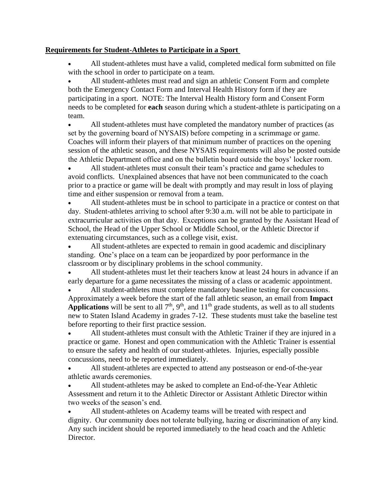## **Requirements for Student-Athletes to Participate in a Sport**

 All student-athletes must have a valid, completed medical form submitted on file with the school in order to participate on a team.

 All student-athletes must read and sign an athletic Consent Form and complete both the Emergency Contact Form and Interval Health History form if they are participating in a sport. NOTE: The Interval Health History form and Consent Form needs to be completed for **each** season during which a student-athlete is participating on a team.

 All student-athletes must have completed the mandatory number of practices (as set by the governing board of NYSAIS) before competing in a scrimmage or game.  Coaches will inform their players of that minimum number of practices on the opening session of the athletic season, and these NYSAIS requirements will also be posted outside the Athletic Department office and on the bulletin board outside the boys' locker room.

 All student-athletes must consult their team's practice and game schedules to avoid conflicts. Unexplained absences that have not been communicated to the coach prior to a practice or game will be dealt with promptly and may result in loss of playing time and either suspension or removal from a team.

 All student-athletes must be in school to participate in a practice or contest on that day.  Student-athletes arriving to school after 9:30 a.m. will not be able to participate in extracurricular activities on that day.  Exceptions can be granted by the Assistant Head of School, the Head of the Upper School or Middle School, or the Athletic Director if extenuating circumstances, such as a college visit, exist.

 All student-athletes are expected to remain in good academic and disciplinary standing.  One's place on a team can be jeopardized by poor performance in the classroom or by disciplinary problems in the school community.

 All student-athletes must let their teachers know at least 24 hours in advance if an early departure for a game necessitates the missing of a class or academic appointment.

 All student-athletes must complete mandatory baseline testing for concussions.  Approximately a week before the start of the fall athletic season, an email from **Impact**  Applications will be sent to all  $7<sup>th</sup>$ ,  $9<sup>th</sup>$ , and  $11<sup>th</sup>$  grade students, as well as to all students new to Staten Island Academy in grades 7-12. These students must take the baseline test before reporting to their first practice session.

 All student-athletes must consult with the Athletic Trainer if they are injured in a practice or game. Honest and open communication with the Athletic Trainer is essential to ensure the safety and health of our student-athletes. Injuries, especially possible concussions, need to be reported immediately.

 All student-athletes are expected to attend any postseason or end-of-the-year athletic awards ceremonies. 

 All student-athletes may be asked to complete an End-of-the-Year Athletic Assessment and return it to the Athletic Director or Assistant Athletic Director within two weeks of the season's end. 

 All student-athletes on Academy teams will be treated with respect and dignity. Our community does not tolerate bullying, hazing or discrimination of any kind.  Any such incident should be reported immediately to the head coach and the Athletic Director.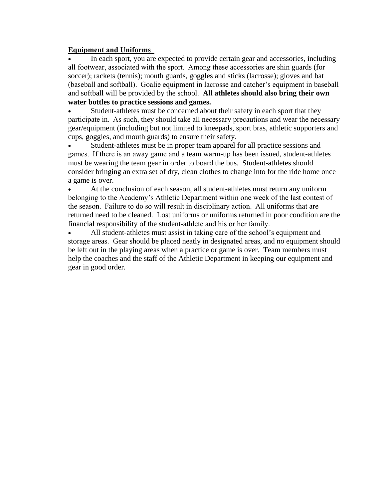### **Equipment and Uniforms**

 In each sport, you are expected to provide certain gear and accessories, including all footwear, associated with the sport.  Among these accessories are shin guards (for soccer); rackets (tennis); mouth guards, goggles and sticks (lacrosse); gloves and bat (baseball and softball).  Goalie equipment in lacrosse and catcher's equipment in baseball and softball will be provided by the school. **All athletes should also bring their own water bottles to practice sessions and games.** 

 Student-athletes must be concerned about their safety in each sport that they participate in.  As such, they should take all necessary precautions and wear the necessary gear/equipment (including but not limited to kneepads, sport bras, athletic supporters and cups, goggles, and mouth guards) to ensure their safety.

 Student-athletes must be in proper team apparel for all practice sessions and games.  If there is an away game and a team warm-up has been issued, student-athletes must be wearing the team gear in order to board the bus. Student-athletes should consider bringing an extra set of dry, clean clothes to change into for the ride home once a game is over.

 At the conclusion of each season, all student-athletes must return any uniform belonging to the Academy's Athletic Department within one week of the last contest of the season.  Failure to do so will result in disciplinary action.  All uniforms that are returned need to be cleaned. Lost uniforms or uniforms returned in poor condition are the financial responsibility of the student-athlete and his or her family. 

 All student-athletes must assist in taking care of the school's equipment and storage areas. Gear should be placed neatly in designated areas, and no equipment should be left out in the playing areas when a practice or game is over. Team members must help the coaches and the staff of the Athletic Department in keeping our equipment and gear in good order.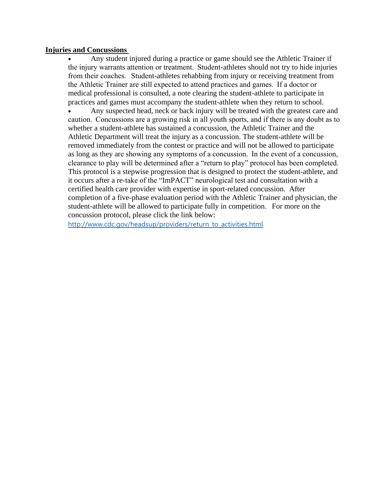#### **Injuries and Concussions**

 Any student injured during a practice or game should see the Athletic Trainer if the injury warrants attention or treatment.  Student-athletes should not try to hide injuries from their coaches.   Student-athletes rehabbing from injury or receiving treatment from the Athletic Trainer are still expected to attend practices and games.  If a doctor or medical professional is consulted, a note clearing the student-athlete to participate in practices and games must accompany the student-athlete when they return to school.

 Any suspected head, neck or back injury will be treated with the greatest care and caution.  Concussions are a growing risk in all youth sports, and if there is any doubt as to whether a student-athlete has sustained a concussion, the Athletic Trainer and the Athletic Department will treat the injury as a concussion. The student-athlete will be removed immediately from the contest or practice and will not be allowed to participate as long as they are showing any symptoms of a concussion.  In the event of a concussion, clearance to play will be determined after a "return to play" protocol has been completed.  This protocol is a stepwise progression that is designed to protect the student-athlete, and it occurs after a re-take of the "ImPACT" neurological test and consultation with a certified health care provider with expertise in sport-related concussion. After completion of a five-phase evaluation period with the Athletic Trainer and physician, the student-athlete will be allowed to participate fully in competition.  For more on the concussion protocol, please click the link below:

[http://www.cdc.gov/headsup/providers/return\\_to\\_activities.html](http://www.cdc.gov/headsup/providers/return_to_activities.html)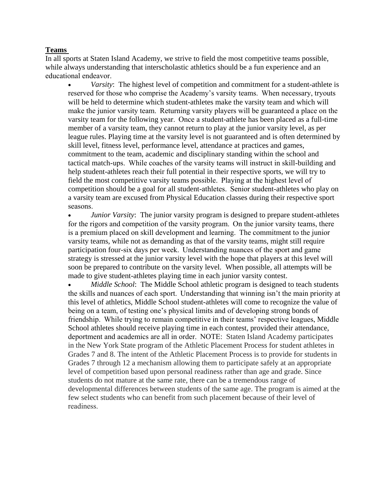## **Teams**

In all sports at Staten Island Academy, we strive to field the most competitive teams possible, while always understanding that interscholastic athletics should be a fun experience and an educational endeavor.  

 *Varsity*: The highest level of competition and commitment for a student-athlete is reserved for those who comprise the Academy's varsity teams.  When necessary, tryouts will be held to determine which student-athletes make the varsity team and which will make the junior varsity team.  Returning varsity players will be guaranteed a place on the varsity team for the following year.  Once a student-athlete has been placed as a full-time member of a varsity team, they cannot return to play at the junior varsity level, as per league rules. Playing time at the varsity level is not guaranteed and is often determined by skill level, fitness level, performance level, attendance at practices and games, commitment to the team, academic and disciplinary standing within the school and tactical match-ups.  While coaches of the varsity teams will instruct in skill-building and help student-athletes reach their full potential in their respective sports, we will try to field the most competitive varsity teams possible.  Playing at the highest level of competition should be a goal for all student-athletes.  Senior student-athletes who play on a varsity team are excused from Physical Education classes during their respective sport seasons.  

*Junior Varsity*: The junior varsity program is designed to prepare student-athletes for the rigors and competition of the varsity program.  On the junior varsity teams, there is a premium placed on skill development and learning.  The commitment to the junior varsity teams, while not as demanding as that of the varsity teams, might still require participation four-six days per week.  Understanding nuances of the sport and game strategy is stressed at the junior varsity level with the hope that players at this level will soon be prepared to contribute on the varsity level. When possible, all attempts will be made to give student-athletes playing time in each junior varsity contest.

 *Middle School*: The Middle School athletic program is designed to teach students the skills and nuances of each sport.  Understanding that winning isn't the main priority at this level of athletics, Middle School student-athletes will come to recognize the value of being on a team, of testing one's physical limits and of developing strong bonds of friendship.  While trying to remain competitive in their teams' respective leagues, Middle School athletes should receive playing time in each contest, provided their attendance, deportment and academics are all in order.  NOTE: Staten Island Academy participates in the New York State program of the Athletic Placement Process for student athletes in Grades 7 and 8. The intent of the Athletic Placement Process is to provide for students in Grades 7 through 12 a mechanism allowing them to participate safely at an appropriate level of competition based upon personal readiness rather than age and grade. Since students do not mature at the same rate, there can be a tremendous range of developmental differences between students of the same age. The program is aimed at the few select students who can benefit from such placement because of their level of readiness.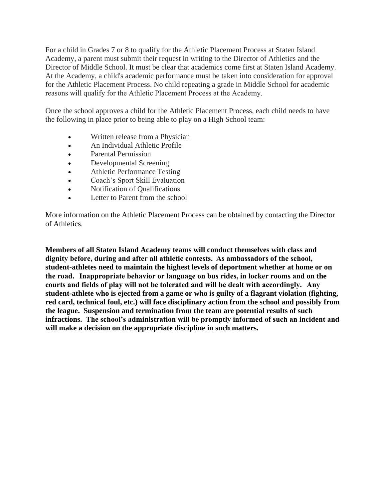For a child in Grades 7 or 8 to qualify for the Athletic Placement Process at Staten Island Academy, a parent must submit their request in writing to the Director of Athletics and the Director of Middle School. It must be clear that academics come first at Staten Island Academy. At the Academy, a child's academic performance must be taken into consideration for approval for the Athletic Placement Process. No child repeating a grade in Middle School for academic reasons will qualify for the Athletic Placement Process at the Academy. 

Once the school approves a child for the Athletic Placement Process, each child needs to have the following in place prior to being able to play on a High School team:

- Written release from a Physician
- An Individual Athletic Profile
- Parental Permission
- Developmental Screening
- Athletic Performance Testing
- Coach's Sport Skill Evaluation
- Notification of Qualifications
- Letter to Parent from the school

More information on the Athletic Placement Process can be obtained by contacting the Director of Athletics.

**Members of all Staten Island Academy teams will conduct themselves with class and dignity before, during and after all athletic contests.  As ambassadors of the school, student-athletes need to maintain the highest levels of deportment whether at home or on the road.   Inappropriate behavior or language on bus rides, in locker rooms and on the courts and fields of play will not be tolerated and will be dealt with accordingly.   Any student-athlete who is ejected from a game or who is guilty of a flagrant violation (fighting, red card, technical foul, etc.) will face disciplinary action from the school and possibly from the league. Suspension and termination from the team are potential results of such infractions. The school's administration will be promptly informed of such an incident and will make a decision on the appropriate discipline in such matters.**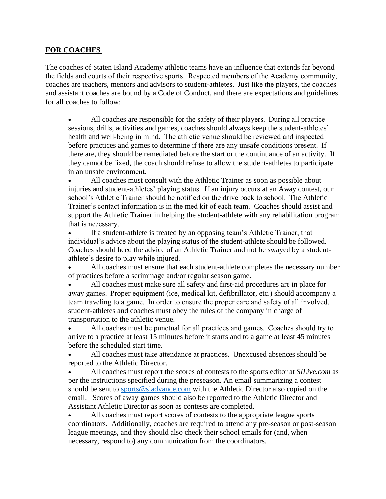#### **FOR COACHES**

The coaches of Staten Island Academy athletic teams have an influence that extends far beyond the fields and courts of their respective sports.  Respected members of the Academy community, coaches are teachers, mentors and advisors to student-athletes.  Just like the players, the coaches and assistant coaches are bound by a Code of Conduct, and there are expectations and guidelines for all coaches to follow:

 All coaches are responsible for the safety of their players.  During all practice sessions, drills, activities and games, coaches should always keep the student-athletes' health and well-being in mind.  The athletic venue should be reviewed and inspected before practices and games to determine if there are any unsafe conditions present.  If there are, they should be remediated before the start or the continuance of an activity. If they cannot be fixed, the coach should refuse to allow the student-athletes to participate in an unsafe environment.  

 All coaches must consult with the Athletic Trainer as soon as possible about injuries and student-athletes' playing status.  If an injury occurs at an Away contest, our school's Athletic Trainer should be notified on the drive back to school. The Athletic Trainer's contact information is in the med kit of each team. Coaches should assist and support the Athletic Trainer in helping the student-athlete with any rehabilitation program that is necessary. 

 If a student-athlete is treated by an opposing team's Athletic Trainer, that individual's advice about the playing status of the student-athlete should be followed. Coaches should heed the advice of an Athletic Trainer and not be swayed by a studentathlete's desire to play while injured.

 All coaches must ensure that each student-athlete completes the necessary number of practices before a scrimmage and/or regular season game.

 All coaches must make sure all safety and first-aid procedures are in place for away games.  Proper equipment (ice, medical kit, defibrillator, etc.) should accompany a team traveling to a game.  In order to ensure the proper care and safety of all involved, student-athletes and coaches must obey the rules of the company in charge of transportation to the athletic venue.

 All coaches must be punctual for all practices and games.  Coaches should try to arrive to a practice at least 15 minutes before it starts and to a game at least 45 minutes before the scheduled start time.

 All coaches must take attendance at practices.  Unexcused absences should be reported to the Athletic Director.

 All coaches must report the scores of contests to the sports editor at *SILive.com* as per the instructions specified during the preseason. An email summarizing a contest should be sent to [sports@siadvance.com](mailto:sports@siadvance.com) with the Athletic Director also copied on the email. Scores of away games should also be reported to the Athletic Director and Assistant Athletic Director as soon as contests are completed.  

 All coaches must report scores of contests to the appropriate league sports coordinators. Additionally, coaches are required to attend any pre-season or post-season league meetings, and they should also check their school emails for (and, when necessary, respond to) any communication from the coordinators.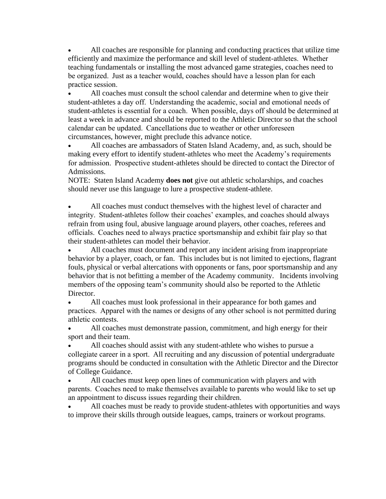All coaches are responsible for planning and conducting practices that utilize time efficiently and maximize the performance and skill level of student-athletes.  Whether teaching fundamentals or installing the most advanced game strategies, coaches need to be organized.  Just as a teacher would, coaches should have a lesson plan for each practice session.  

 All coaches must consult the school calendar and determine when to give their student-athletes a day off.  Understanding the academic, social and emotional needs of student-athletes is essential for a coach.  When possible, days off should be determined at least a week in advance and should be reported to the Athletic Director so that the school calendar can be updated.  Cancellations due to weather or other unforeseen circumstances, however, might preclude this advance notice.

 All coaches are ambassadors of Staten Island Academy, and, as such, should be making every effort to identify student-athletes who meet the Academy's requirements for admission.  Prospective student-athletes should be directed to contact the Director of Admissions.

NOTE: Staten Island Academy **does not** give out athletic scholarships, and coaches should never use this language to lure a prospective student-athlete.

 All coaches must conduct themselves with the highest level of character and integrity.  Student-athletes follow their coaches' examples, and coaches should always refrain from using foul, abusive language around players, other coaches, referees and officials.  Coaches need to always practice sportsmanship and exhibit fair play so that their student-athletes can model their behavior.

 All coaches must document and report any incident arising from inappropriate behavior by a player, coach, or fan. This includes but is not limited to ejections, flagrant fouls, physical or verbal altercations with opponents or fans, poor sportsmanship and any behavior that is not befitting a member of the Academy community. Incidents involving members of the opposing team's community should also be reported to the Athletic Director.

• All coaches must look professional in their appearance for both games and practices.  Apparel with the names or designs of any other school is not permitted during athletic contests.     

 All coaches must demonstrate passion, commitment, and high energy for their sport and their team. 

 All coaches should assist with any student-athlete who wishes to pursue a collegiate career in a sport.  All recruiting and any discussion of potential undergraduate programs should be conducted in consultation with the Athletic Director and the Director of College Guidance.

 All coaches must keep open lines of communication with players and with parents.  Coaches need to make themselves available to parents who would like to set up an appointment to discuss issues regarding their children. 

 All coaches must be ready to provide student-athletes with opportunities and ways to improve their skills through outside leagues, camps, trainers or workout programs.